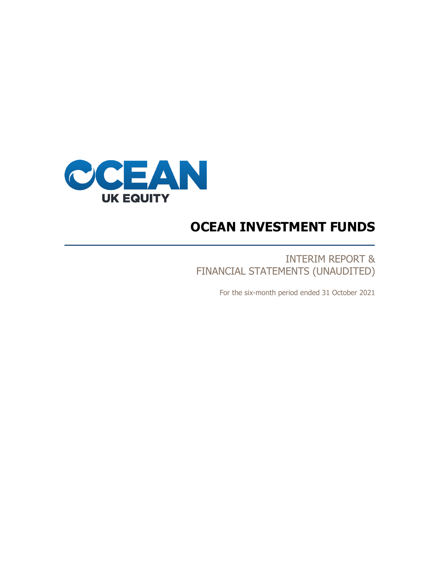

# **OCEAN INVESTMENT FUNDS**

INTERIM REPORT & FINANCIAL STATEMENTS (UNAUDITED)

For the six-month period ended 31 October 2021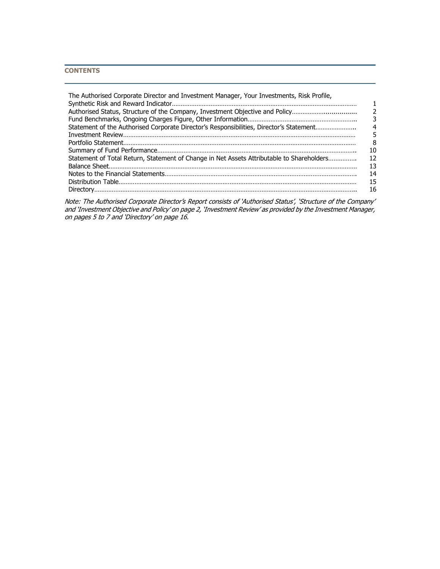# **CONTENTS**

| The Authorised Corporate Director and Investment Manager, Your Investments, Risk Profile, |                  |
|-------------------------------------------------------------------------------------------|------------------|
| Authorised Status, Structure of the Company, Investment Objective and Policy              |                  |
|                                                                                           | 3                |
| Statement of the Authorised Corporate Director's Responsibilities, Director's Statement   | $\boldsymbol{A}$ |
|                                                                                           | 5                |
|                                                                                           | 8                |
|                                                                                           | 10               |
| Statement of Total Return, Statement of Change in Net Assets Attributable to Shareholders | 12               |
|                                                                                           | 13               |
|                                                                                           | 14               |
|                                                                                           | 15               |
|                                                                                           | 16               |

Note: The Authorised Corporate Director's Report consists of 'Authorised Status', 'Structure of the Company' and 'Investment Objective and Policy' on page 2, 'Investment Review' as provided by the Investment Manager, on pages 5 to 7 and 'Directory' on page 16.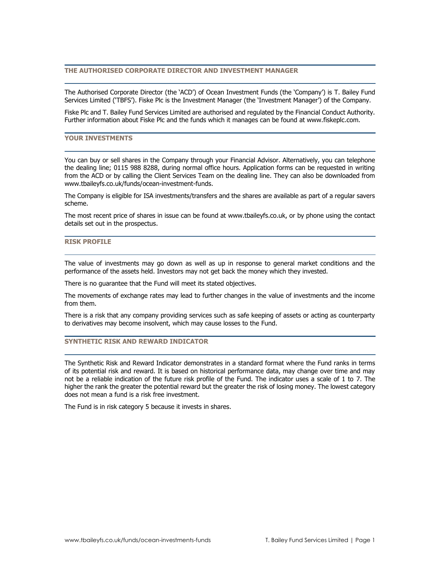# **THE AUTHORISED CORPORATE DIRECTOR AND INVESTMENT MANAGER**

The Authorised Corporate Director (the 'ACD') of Ocean Investment Funds (the 'Company') is T. Bailey Fund Services Limited ('TBFS'). Fiske Plc is the Investment Manager (the 'Investment Manager') of the Company.

Fiske Plc and T. Bailey Fund Services Limited are authorised and regulated by the Financial Conduct Authority. Further information about Fiske Plc and the funds which it manages can be found at www.fiskeplc.com.

## **YOUR INVESTMENTS**

You can buy or sell shares in the Company through your Financial Advisor. Alternatively, you can telephone the dealing line; 0115 988 8288, during normal office hours. Application forms can be requested in writing from the ACD or by calling the Client Services Team on the dealing line. They can also be downloaded from www.tbaileyfs.co.uk/funds/ocean-investment-funds.

The Company is eligible for ISA investments/transfers and the shares are available as part of a regular savers scheme.

The most recent price of shares in issue can be found at www.tbaileyfs.co.uk, or by phone using the contact details set out in the prospectus.

# **RISK PROFILE**

The value of investments may go down as well as up in response to general market conditions and the performance of the assets held. Investors may not get back the money which they invested.

There is no guarantee that the Fund will meet its stated objectives.

The movements of exchange rates may lead to further changes in the value of investments and the income from them.

There is a risk that any company providing services such as safe keeping of assets or acting as counterparty to derivatives may become insolvent, which may cause losses to the Fund.

# **SYNTHETIC RISK AND REWARD INDICATOR**

The Synthetic Risk and Reward Indicator demonstrates in a standard format where the Fund ranks in terms of its potential risk and reward. It is based on historical performance data, may change over time and may not be a reliable indication of the future risk profile of the Fund. The indicator uses a scale of 1 to 7. The higher the rank the greater the potential reward but the greater the risk of losing money. The lowest category does not mean a fund is a risk free investment.

The Fund is in risk category 5 because it invests in shares.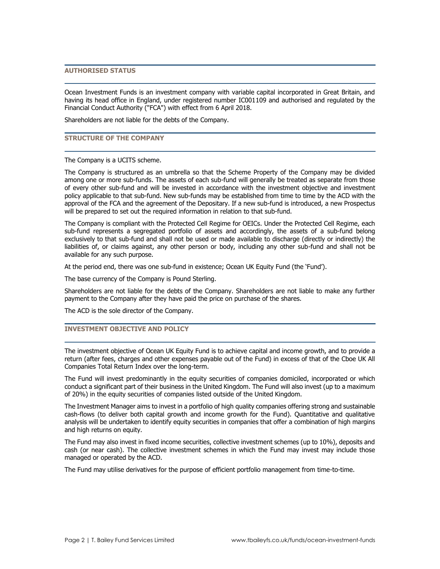# **AUTHORISED STATUS**

Ocean Investment Funds is an investment company with variable capital incorporated in Great Britain, and having its head office in England, under registered number IC001109 and authorised and regulated by the Financial Conduct Authority ("FCA") with effect from 6 April 2018.

Shareholders are not liable for the debts of the Company.

## **STRUCTURE OF THE COMPANY**

#### The Company is a UCITS scheme.

The Company is structured as an umbrella so that the Scheme Property of the Company may be divided among one or more sub-funds. The assets of each sub-fund will generally be treated as separate from those of every other sub-fund and will be invested in accordance with the investment objective and investment policy applicable to that sub-fund. New sub-funds may be established from time to time by the ACD with the approval of the FCA and the agreement of the Depositary. If a new sub-fund is introduced, a new Prospectus will be prepared to set out the required information in relation to that sub-fund.

The Company is compliant with the Protected Cell Regime for OEICs. Under the Protected Cell Regime, each sub-fund represents a segregated portfolio of assets and accordingly, the assets of a sub-fund belong exclusively to that sub-fund and shall not be used or made available to discharge (directly or indirectly) the liabilities of, or claims against, any other person or body, including any other sub-fund and shall not be available for any such purpose.

At the period end, there was one sub-fund in existence; Ocean UK Equity Fund (the 'Fund').

The base currency of the Company is Pound Sterling.

Shareholders are not liable for the debts of the Company. Shareholders are not liable to make any further payment to the Company after they have paid the price on purchase of the shares.

The ACD is the sole director of the Company.

# **INVESTMENT OBJECTIVE AND POLICY**

The investment objective of Ocean UK Equity Fund is to achieve capital and income growth, and to provide a return (after fees, charges and other expenses payable out of the Fund) in excess of that of the Cboe UK All Companies Total Return Index over the long-term.

The Fund will invest predominantly in the equity securities of companies domiciled, incorporated or which conduct a significant part of their business in the United Kingdom. The Fund will also invest (up to a maximum of 20%) in the equity securities of companies listed outside of the United Kingdom.

The Investment Manager aims to invest in a portfolio of high quality companies offering strong and sustainable cash-flows (to deliver both capital growth and income growth for the Fund). Quantitative and qualitative analysis will be undertaken to identify equity securities in companies that offer a combination of high margins and high returns on equity.

The Fund may also invest in fixed income securities, collective investment schemes (up to 10%), deposits and cash (or near cash). The collective investment schemes in which the Fund may invest may include those managed or operated by the ACD.

The Fund may utilise derivatives for the purpose of efficient portfolio management from time-to-time.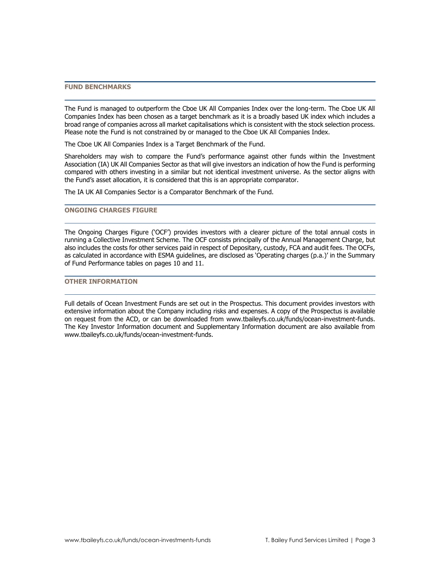## **FUND BENCHMARKS**

The Fund is managed to outperform the Cboe UK All Companies Index over the long-term. The Cboe UK All Companies Index has been chosen as a target benchmark as it is a broadly based UK index which includes a broad range of companies across all market capitalisations which is consistent with the stock selection process. Please note the Fund is not constrained by or managed to the Cboe UK All Companies Index.

The Cboe UK All Companies Index is a Target Benchmark of the Fund.

Shareholders may wish to compare the Fund's performance against other funds within the Investment Association (IA) UK All Companies Sector as that will give investors an indication of how the Fund is performing compared with others investing in a similar but not identical investment universe. As the sector aligns with the Fund's asset allocation, it is considered that this is an appropriate comparator.

The IA UK All Companies Sector is a Comparator Benchmark of the Fund.

# **ONGOING CHARGES FIGURE**

The Ongoing Charges Figure ('OCF') provides investors with a clearer picture of the total annual costs in running a Collective Investment Scheme. The OCF consists principally of the Annual Management Charge, but also includes the costs for other services paid in respect of Depositary, custody, FCA and audit fees. The OCFs, as calculated in accordance with ESMA guidelines, are disclosed as 'Operating charges (p.a.)' in the Summary of Fund Performance tables on pages 10 and 11.

# **OTHER INFORMATION**

Full details of Ocean Investment Funds are set out in the Prospectus. This document provides investors with extensive information about the Company including risks and expenses. A copy of the Prospectus is available on request from the ACD, or can be downloaded from [www.tbaileyfs.co.uk/funds/ocean-investment-funds.](http://www.tbaileyfs.co.uk/funds/ocean-investment-funds) The Key Investor Information document and Supplementary Information document are also available from [www.tbaileyfs.co.uk/funds/ocean-investment-funds.](http://www.tbaileyfs.co.uk/funds/ocean-investment-funds)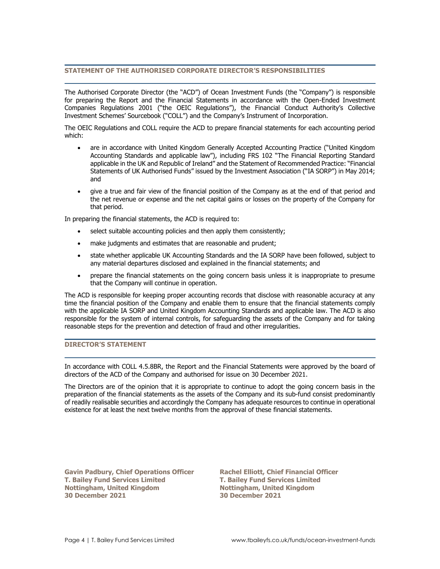# **STATEMENT OF THE AUTHORISED CORPORATE DIRECTOR'S RESPONSIBILITIES**

The Authorised Corporate Director (the "ACD") of Ocean Investment Funds (the "Company") is responsible for preparing the Report and the Financial Statements in accordance with the Open-Ended Investment Companies Regulations 2001 ("the OEIC Regulations"), the Financial Conduct Authority's Collective Investment Schemes' Sourcebook ("COLL") and the Company's Instrument of Incorporation.

The OEIC Regulations and COLL require the ACD to prepare financial statements for each accounting period which:

- are in accordance with United Kingdom Generally Accepted Accounting Practice ("United Kingdom Accounting Standards and applicable law"), including FRS 102 "The Financial Reporting Standard applicable in the UK and Republic of Ireland" and the Statement of Recommended Practice: "Financial Statements of UK Authorised Funds" issued by the Investment Association ("IA SORP") in May 2014; and
- give a true and fair view of the financial position of the Company as at the end of that period and the net revenue or expense and the net capital gains or losses on the property of the Company for that period.

In preparing the financial statements, the ACD is required to:

- select suitable accounting policies and then apply them consistently;
- make judgments and estimates that are reasonable and prudent;
- state whether applicable UK Accounting Standards and the IA SORP have been followed, subject to any material departures disclosed and explained in the financial statements; and
- prepare the financial statements on the going concern basis unless it is inappropriate to presume that the Company will continue in operation.

The ACD is responsible for keeping proper accounting records that disclose with reasonable accuracy at any time the financial position of the Company and enable them to ensure that the financial statements comply with the applicable IA SORP and United Kingdom Accounting Standards and applicable law. The ACD is also responsible for the system of internal controls, for safeguarding the assets of the Company and for taking reasonable steps for the prevention and detection of fraud and other irregularities.

# **DIRECTOR'S STATEMENT**

In accordance with COLL 4.5.8BR, the Report and the Financial Statements were approved by the board of directors of the ACD of the Company and authorised for issue on 30 December 2021.

The Directors are of the opinion that it is appropriate to continue to adopt the going concern basis in the preparation of the financial statements as the assets of the Company and its sub-fund consist predominantly of readily realisable securities and accordingly the Company has adequate resources to continue in operational existence for at least the next twelve months from the approval of these financial statements.

**Gavin Padbury, Chief Operations Officer Rachel Elliott, Chief Financial Officer T. Bailey Fund Services Limited T. Bailey Fund Services Limited Nottingham, United Kingdom Nottingham, United Kingdom 30 December 2021 30 December 2021**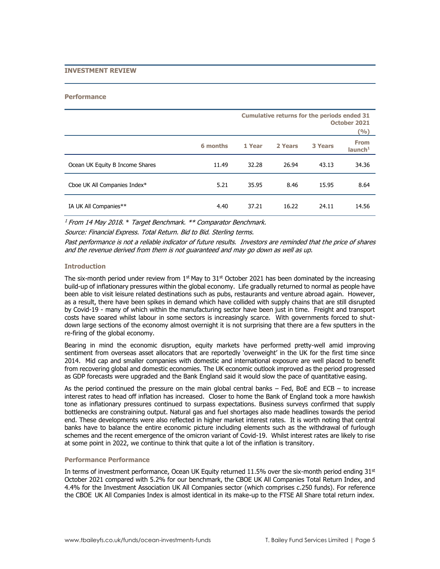## **INVESTMENT REVIEW**

#### **Performance**

|                                 |          | <b>Cumulative returns for the periods ended 31</b><br>October 2021<br>(9/6) |         |                |                                    |
|---------------------------------|----------|-----------------------------------------------------------------------------|---------|----------------|------------------------------------|
|                                 | 6 months | 1 Year                                                                      | 2 Years | <b>3 Years</b> | <b>From</b><br>launch <sup>1</sup> |
| Ocean UK Equity B Income Shares | 11.49    | 32.28                                                                       | 26.94   | 43.13          | 34.36                              |
| Cboe UK All Companies Index*    | 5.21     | 35.95                                                                       | 8.46    | 15.95          | 8.64                               |
| IA UK All Companies**           | 4.40     | 37.21                                                                       | 16.22   | 24.11          | 14.56                              |

 $1$  From 14 May 2018.  $*$  Target Benchmark.  $**$  Comparator Benchmark. Source: Financial Express. Total Return. Bid to Bid. Sterling terms.

Past performance is not a reliable indicator of future results. Investors are reminded that the price of shares and the revenue derived from them is not guaranteed and may go down as well as up.

## **Introduction**

The six-month period under review from  $1<sup>st</sup>$  May to  $31<sup>st</sup>$  October 2021 has been dominated by the increasing build-up of inflationary pressures within the global economy. Life gradually returned to normal as people have been able to visit leisure related destinations such as pubs, restaurants and venture abroad again. However, as a result, there have been spikes in demand which have collided with supply chains that are still disrupted by Covid-19 - many of which within the manufacturing sector have been just in time. Freight and transport costs have soared whilst labour in some sectors is increasingly scarce. With governments forced to shutdown large sections of the economy almost overnight it is not surprising that there are a few sputters in the re-firing of the global economy.

Bearing in mind the economic disruption, equity markets have performed pretty-well amid improving sentiment from overseas asset allocators that are reportedly 'overweight' in the UK for the first time since 2014. Mid cap and smaller companies with domestic and international exposure are well placed to benefit from recovering global and domestic economies. The UK economic outlook improved as the period progressed as GDP forecasts were upgraded and the Bank England said it would slow the pace of quantitative easing.

As the period continued the pressure on the main global central banks – Fed, BoE and ECB – to increase interest rates to head off inflation has increased. Closer to home the Bank of England took a more hawkish tone as inflationary pressures continued to surpass expectations. Business surveys confirmed that supply bottlenecks are constraining output. Natural gas and fuel shortages also made headlines towards the period end. These developments were also reflected in higher market interest rates. It is worth noting that central banks have to balance the entire economic picture including elements such as the withdrawal of furlough schemes and the recent emergence of the omicron variant of Covid-19. Whilst interest rates are likely to rise at some point in 2022, we continue to think that quite a lot of the inflation is transitory.

### **Performance Performance**

In terms of investment performance, Ocean UK Equity returned 11.5% over the six-month period ending  $31<sup>st</sup>$ October 2021 compared with 5.2% for our benchmark, the CBOE UK All Companies Total Return Index, and 4.4% for the Investment Association UK All Companies sector (which comprises c.250 funds). For reference the CBOE UK All Companies Index is almost identical in its make-up to the FTSE All Share total return index.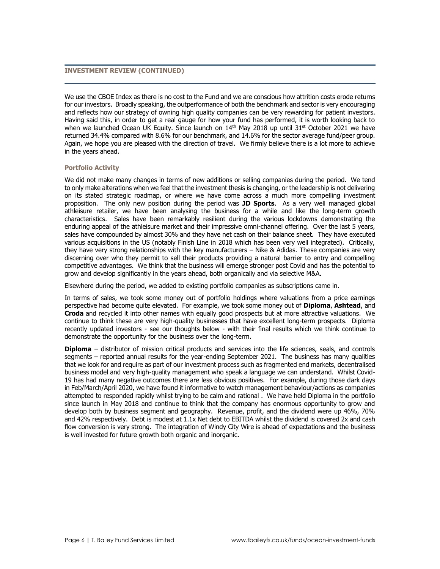# **INVESTMENT REVIEW (CONTINUED)**

We use the CBOE Index as there is no cost to the Fund and we are conscious how attrition costs erode returns for our investors. Broadly speaking, the outperformance of both the benchmark and sector is very encouraging and reflects how our strategy of owning high quality companies can be very rewarding for patient investors. Having said this, in order to get a real gauge for how your fund has performed, it is worth looking back to when we launched Ocean UK Equity. Since launch on 14th May 2018 up until 31st October 2021 we have returned 34.4% compared with 8.6% for our benchmark, and 14.6% for the sector average fund/peer group. Again, we hope you are pleased with the direction of travel. We firmly believe there is a lot more to achieve in the years ahead.

## **Portfolio Activity**

We did not make many changes in terms of new additions or selling companies during the period. We tend to only make alterations when we feel that the investment thesis is changing, or the leadership is not delivering on its stated strategic roadmap, or where we have come across a much more compelling investment proposition. The only new position during the period was **JD Sports**. As a very well managed global athleisure retailer, we have been analysing the business for a while and like the long-term growth characteristics. Sales have been remarkably resilient during the various lockdowns demonstrating the enduring appeal of the athleisure market and their impressive omni-channel offering. Over the last 5 years, sales have compounded by almost 30% and they have net cash on their balance sheet. They have executed various acquisitions in the US (notably Finish Line in 2018 which has been very well integrated). Critically, they have very strong relationships with the key manufacturers – Nike & Adidas. These companies are very discerning over who they permit to sell their products providing a natural barrier to entry and compelling competitive advantages. We think that the business will emerge stronger post Covid and has the potential to grow and develop significantly in the years ahead, both organically and via selective M&A.

Elsewhere during the period, we added to existing portfolio companies as subscriptions came in.

In terms of sales, we took some money out of portfolio holdings where valuations from a price earnings perspective had become quite elevated. For example, we took some money out of **Diploma**, **Ashtead**, and **Croda** and recycled it into other names with equally good prospects but at more attractive valuations. We continue to think these are very high-quality businesses that have excellent long-term prospects. Diploma recently updated investors - see our thoughts below - with their final results which we think continue to demonstrate the opportunity for the business over the long-term.

**Diploma** – distributor of mission critical products and services into the life sciences, seals, and controls segments – reported annual results for the year-ending September 2021. The business has many qualities that we look for and require as part of our investment process such as fragmented end markets, decentralised business model and very high-quality management who speak a language we can understand. Whilst Covid-19 has had many negative outcomes there are less obvious positives. For example, during those dark days in Feb/March/April 2020, we have found it informative to watch management behaviour/actions as companies attempted to responded rapidly whilst trying to be calm and rational . We have held Diploma in the portfolio since launch in May 2018 and continue to think that the company has enormous opportunity to grow and develop both by business segment and geography. Revenue, profit, and the dividend were up 46%, 70% and 42% respectively. Debt is modest at 1.1x Net debt to EBITDA whilst the dividend is covered 2x and cash flow conversion is very strong. The integration of Windy City Wire is ahead of expectations and the business is well invested for future growth both organic and inorganic.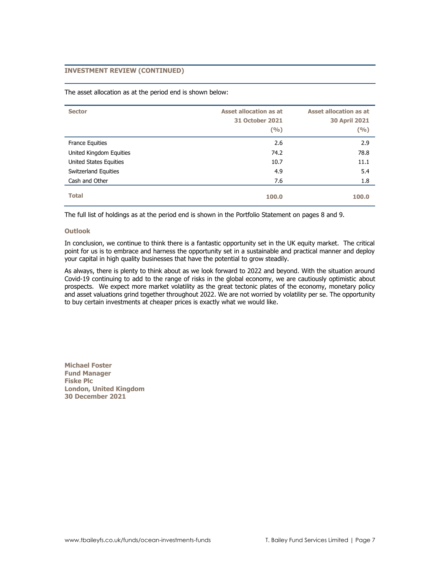# **INVESTMENT REVIEW (CONTINUED)**

The asset allocation as at the period end is shown below:

| <b>Sector</b>           | <b>Asset allocation as at</b><br><b>31 October 2021</b><br>(9/6) | <b>Asset allocation as at</b><br><b>30 April 2021</b><br>(9/0) |
|-------------------------|------------------------------------------------------------------|----------------------------------------------------------------|
| <b>France Equities</b>  | 2.6                                                              | 2.9                                                            |
| United Kingdom Equities | 74.2                                                             | 78.8                                                           |
| United States Equities  | 10.7                                                             | 11.1                                                           |
| Switzerland Equities    | 4.9                                                              | 5.4                                                            |
| Cash and Other          | 7.6                                                              | 1.8                                                            |
| <b>Total</b>            | 100.0                                                            | 100.0                                                          |

The full list of holdings as at the period end is shown in the Portfolio Statement on pages 8 and 9.

#### **Outlook**

In conclusion, we continue to think there is a fantastic opportunity set in the UK equity market. The critical point for us is to embrace and harness the opportunity set in a sustainable and practical manner and deploy your capital in high quality businesses that have the potential to grow steadily.

As always, there is plenty to think about as we look forward to 2022 and beyond. With the situation around Covid-19 continuing to add to the range of risks in the global economy, we are cautiously optimistic about prospects. We expect more market volatility as the great tectonic plates of the economy, monetary policy and asset valuations grind together throughout 2022. We are not worried by volatility per se. The opportunity to buy certain investments at cheaper prices is exactly what we would like.

**Michael Foster Fund Manager Fiske Plc London, United Kingdom 30 December 2021**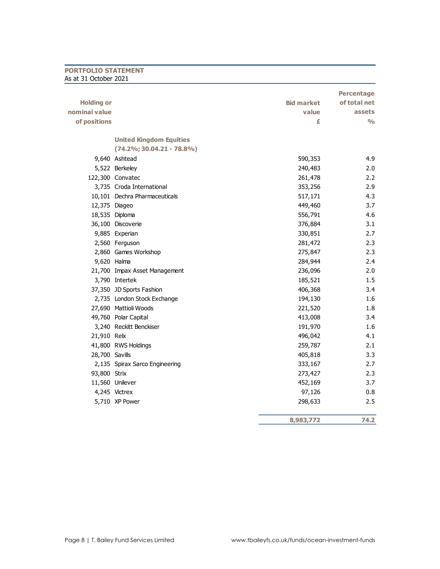# **PORTFOLIO STATEMENT** As at 31 October 2021

|                   |                                |                   | <b>Percentage</b>         |
|-------------------|--------------------------------|-------------------|---------------------------|
| <b>Holding or</b> |                                | <b>Bid market</b> | of total net              |
| nominal value     |                                | value             | <b>assets</b>             |
| of positions      |                                | £                 | $\mathsf{o}\!/\mathsf{o}$ |
|                   | <b>United Kingdom Equities</b> |                   |                           |
|                   | $(74.2\%; 30.04.21 - 78.8\%)$  |                   |                           |
|                   | 9,640 Ashtead                  | 590,353           | 4.9                       |
|                   | 5,522 Berkeley                 | 240,483           | 2.0                       |
|                   | 122,300 Convatec               | 261,478           | 2.2                       |
|                   | 3,735 Croda International      | 353,256           | 2.9                       |
|                   | 10,101 Dechra Pharmaceuticals  | 517,171           | 4.3                       |
| 12,375 Diageo     |                                | 449,460           | 3.7                       |
|                   | 18,535 Diploma                 | 556,791           | 4.6                       |
|                   | 36,100 Discoverie              | 376,884           | 3.1                       |
|                   | 9,885 Experian                 | 330,851           | 2.7                       |
|                   | 2,560 Ferguson                 | 281,472           | 2.3                       |
|                   | 2,860 Games Workshop           | 275,847           | 2.3                       |
| 9,620 Halma       |                                | 284,944           | 2.4                       |
|                   | 21,700 Impax Asset Management  | 236,096           | 2.0                       |
|                   | 3,790 Intertek                 | 185,521           | 1.5                       |
|                   | 37,350 JD Sports Fashion       | 406,368           | 3.4                       |
|                   | 2,735 London Stock Exchange    | 194,130           | 1.6                       |
|                   | 27,690 Mattioli Woods          | 221,520           | 1.8                       |
|                   | 49,760 Polar Capital           | 413,008           | 3.4                       |
|                   | 3,240 Reckitt Benckiser        | 191,970           | 1.6                       |
| 21,910 Relx       |                                | 496,042           | 4.1                       |
|                   | 41,800 RWS Holdings            | 259,787           | 2.1                       |
| 28,700 Savills    |                                | 405,818           | 3.3                       |
|                   | 2,135 Spirax Sarco Engineering | 333,167           | 2.7                       |
| 93,800 Strix      |                                | 273,427           | 2.3                       |
|                   | 11,560 Unilever                | 452,169           | 3.7                       |
|                   | 4,245 Victrex                  | 97,126            | 0.8                       |
|                   | 5,710 XP Power                 | 298,633           | 2.5                       |
|                   |                                | 8,983,772         | 74.2                      |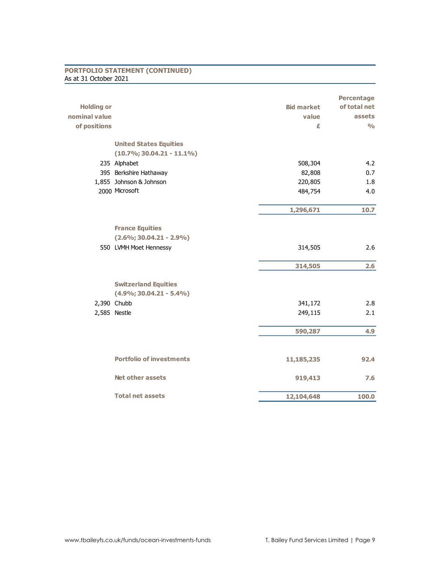# **PORTFOLIO STATEMENT (CONTINUED)** As at 31 October 2021

| <b>Holding or</b><br><b>Bid market</b><br>nominal value<br>value<br>of positions<br>£<br><b>United States Equities</b><br>$(10.7\%; 30.04.21 - 11.1\%)$<br>235 Alphabet<br>508,304 | of total net<br>assets<br>$\frac{0}{0}$<br>4.2<br>0.7 |
|------------------------------------------------------------------------------------------------------------------------------------------------------------------------------------|-------------------------------------------------------|
|                                                                                                                                                                                    |                                                       |
|                                                                                                                                                                                    |                                                       |
|                                                                                                                                                                                    |                                                       |
|                                                                                                                                                                                    |                                                       |
|                                                                                                                                                                                    |                                                       |
|                                                                                                                                                                                    |                                                       |
| 395 Berkshire Hathaway<br>82,808                                                                                                                                                   |                                                       |
| 1,855 Johnson & Johnson<br>220,805                                                                                                                                                 | 1.8                                                   |
| 2000 Microsoft<br>484,754                                                                                                                                                          | 4.0                                                   |
| 1,296,671                                                                                                                                                                          | 10.7                                                  |
|                                                                                                                                                                                    |                                                       |
| <b>France Equities</b>                                                                                                                                                             |                                                       |
| $(2.6\%; 30.04.21 - 2.9\%)$                                                                                                                                                        |                                                       |
| 550 LVMH Moet Hennessy<br>314,505                                                                                                                                                  | 2.6                                                   |
| 314,505                                                                                                                                                                            | 2.6                                                   |
| <b>Switzerland Equities</b>                                                                                                                                                        |                                                       |
| $(4.9\%; 30.04.21 - 5.4\%)$                                                                                                                                                        |                                                       |
| 2,390 Chubb<br>341,172                                                                                                                                                             | 2.8                                                   |
| 2,585 Nestle<br>249,115                                                                                                                                                            | 2.1                                                   |
| 590,287                                                                                                                                                                            | 4.9                                                   |
|                                                                                                                                                                                    |                                                       |
| <b>Portfolio of investments</b><br>11,185,235                                                                                                                                      | 92.4                                                  |
| <b>Net other assets</b><br>919,413                                                                                                                                                 | 7.6                                                   |
| <b>Total net assets</b><br>12,104,648                                                                                                                                              | 100.0                                                 |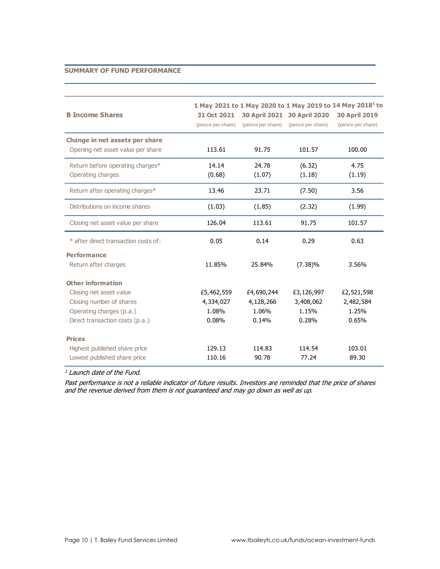# **SUMMARY OF FUND PERFORMANCE**

| 1 May 2021 to 1 May 2020 to 1 May 2019 to 14 May 2018 <sup>1</sup> to<br><b>B Income Shares</b><br>30 April 2021 30 April 2020<br>31 Oct 2021 |                   |                   |                   |                                           |  |
|-----------------------------------------------------------------------------------------------------------------------------------------------|-------------------|-------------------|-------------------|-------------------------------------------|--|
|                                                                                                                                               | (pence per share) | (pence per share) | (pence per share) | <b>30 April 2019</b><br>(pence per share) |  |
| Change in net assets per share                                                                                                                |                   |                   |                   |                                           |  |
| Opening net asset value per share                                                                                                             | 113.61            | 91.75             | 101.57            | 100.00                                    |  |
| Return before operating charges*                                                                                                              | 14.14             | 24.78             | (6.32)            | 4.75                                      |  |
| Operating charges                                                                                                                             | (0.68)            | (1.07)            | (1.18)            | (1.19)                                    |  |
| Return after operating charges*                                                                                                               | 13.46             | 23.71             | (7.50)            | 3.56                                      |  |
| Distributions on income shares                                                                                                                | (1.03)            | (1.85)            | (2.32)            | (1.99)                                    |  |
| Closing net asset value per share                                                                                                             | 126.04            | 113.61            | 91.75             | 101.57                                    |  |
| * after direct transaction costs of:                                                                                                          | 0.05              | 0.14              | 0.29              | 0.63                                      |  |
| <b>Performance</b>                                                                                                                            |                   |                   |                   |                                           |  |
| Return after charges                                                                                                                          | 11.85%            | 25.84%            | $(7.38)\%$        | 3.56%                                     |  |
| <b>Other information</b>                                                                                                                      |                   |                   |                   |                                           |  |
| Closing net asset value                                                                                                                       | £5,462,559        | £4,690,244        | £3,126,997        | £2,521,598                                |  |
| Closing number of shares                                                                                                                      | 4,334,027         | 4,128,266         | 3,408,062         | 2,482,584                                 |  |
| Operating charges (p.a.)                                                                                                                      | 1.08%             | 1.06%             | 1.15%             | 1.25%                                     |  |
| Direct transaction costs (p.a.)                                                                                                               | 0.08%             | 0.14%             | 0.28%             | 0.65%                                     |  |
| <b>Prices</b>                                                                                                                                 |                   |                   |                   |                                           |  |
| Highest published share price                                                                                                                 | 129.13            | 114.83            | 114.54            | 103.01                                    |  |
| Lowest published share price                                                                                                                  | 110.16            | 90.78             | 77.24             | 89.30                                     |  |

<sup>1</sup> Launch date of the Fund.

Past performance is not a reliable indicator of future results. Investors are reminded that the price of shares and the revenue derived from them is not guaranteed and may go down as well as up.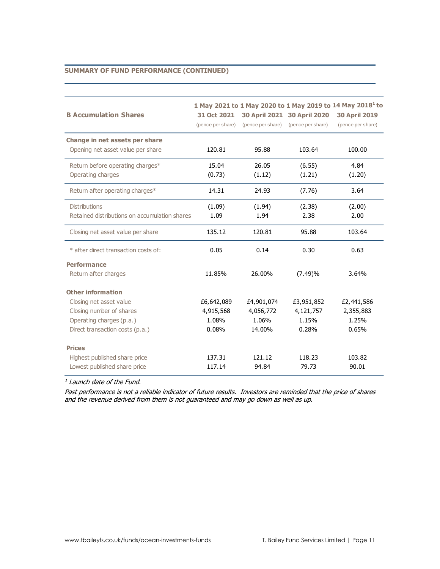# **SUMMARY OF FUND PERFORMANCE (CONTINUED)**

| <b>B Accumulation Shares</b>                                                                                                                   | 31 Oct 2021<br>(pence per share)          | (pence per share)                          | 30 April 2021 30 April 2020<br>(pence per share) | 1 May 2021 to 1 May 2020 to 1 May 2019 to 14 May 2018 <sup>1</sup> to<br><b>30 April 2019</b><br>(pence per share) |
|------------------------------------------------------------------------------------------------------------------------------------------------|-------------------------------------------|--------------------------------------------|--------------------------------------------------|--------------------------------------------------------------------------------------------------------------------|
| Change in net assets per share<br>Opening net asset value per share                                                                            | 120.81                                    | 95.88                                      | 103.64                                           | 100.00                                                                                                             |
| Return before operating charges*<br>Operating charges                                                                                          | 15.04<br>(0.73)                           | 26.05<br>(1.12)                            | (6.55)<br>(1.21)                                 | 4.84<br>(1.20)                                                                                                     |
| Return after operating charges*                                                                                                                | 14.31                                     | 24.93                                      | (7.76)                                           | 3.64                                                                                                               |
| <b>Distributions</b><br>Retained distributions on accumulation shares                                                                          | (1.09)<br>1.09                            | (1.94)<br>1.94                             | (2.38)<br>2.38                                   | (2.00)<br>2.00                                                                                                     |
| Closing net asset value per share                                                                                                              | 135.12                                    | 120.81                                     | 95.88                                            | 103.64                                                                                                             |
| * after direct transaction costs of:                                                                                                           | 0.05                                      | 0.14                                       | 0.30                                             | 0.63                                                                                                               |
| <b>Performance</b><br>Return after charges                                                                                                     | 11.85%                                    | 26.00%                                     | (7.49)%                                          | 3.64%                                                                                                              |
| <b>Other information</b><br>Closing net asset value<br>Closing number of shares<br>Operating charges (p.a.)<br>Direct transaction costs (p.a.) | £6,642,089<br>4,915,568<br>1.08%<br>0.08% | £4,901,074<br>4,056,772<br>1.06%<br>14.00% | £3,951,852<br>4,121,757<br>1.15%<br>0.28%        | £2,441,586<br>2,355,883<br>1.25%<br>0.65%                                                                          |
| <b>Prices</b><br>Highest published share price<br>Lowest published share price                                                                 | 137.31<br>117.14                          | 121.12<br>94.84                            | 118.23<br>79.73                                  | 103.82<br>90.01                                                                                                    |

<sup>1</sup> Launch date of the Fund.

Past performance is not a reliable indicator of future results. Investors are reminded that the price of shares and the revenue derived from them is not guaranteed and may go down as well as up.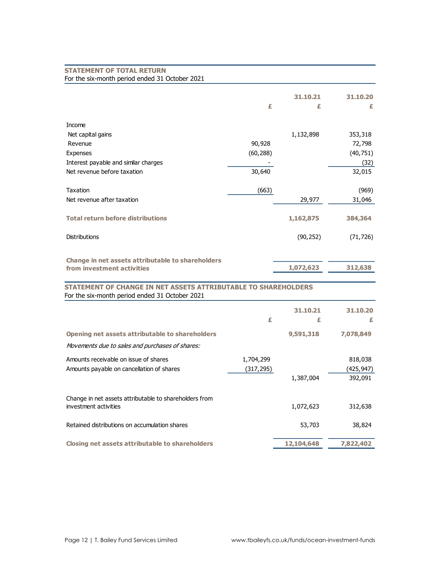| <b>STATEMENT OF TOTAL RETURN</b>                                      |            |            |            |
|-----------------------------------------------------------------------|------------|------------|------------|
| For the six-month period ended 31 October 2021                        |            |            |            |
|                                                                       |            |            |            |
|                                                                       |            | 31.10.21   | 31.10.20   |
|                                                                       | £          | £          | £          |
| Income                                                                |            |            |            |
| Net capital gains                                                     |            | 1,132,898  | 353,318    |
| Revenue                                                               | 90,928     |            | 72,798     |
| Expenses                                                              | (60, 288)  |            | (40, 751)  |
| Interest payable and similar charges                                  |            |            | (32)       |
| Net revenue before taxation                                           | 30,640     |            | 32,015     |
|                                                                       |            |            |            |
| Taxation                                                              | (663)      |            | (969)      |
| Net revenue after taxation                                            |            | 29,977     | 31,046     |
|                                                                       |            |            |            |
| <b>Total return before distributions</b>                              |            | 1,162,875  | 384,364    |
| <b>Distributions</b>                                                  |            | (90, 252)  | (71, 726)  |
|                                                                       |            |            |            |
| Change in net assets attributable to shareholders                     |            |            |            |
| from investment activities                                            |            | 1,072,623  | 312,638    |
| <b>STATEMENT OF CHANGE IN NET ASSETS ATTRIBUTABLE TO SHAREHOLDERS</b> |            |            |            |
| For the six-month period ended 31 October 2021                        |            |            |            |
|                                                                       |            | 31.10.21   | 31.10.20   |
|                                                                       | £          | £          | £          |
| Opening net assets attributable to shareholders                       |            | 9,591,318  | 7,078,849  |
| Movements due to sales and purchases of shares:                       |            |            |            |
| Amounts receivable on issue of shares                                 | 1,704,299  |            | 818,038    |
| Amounts payable on cancellation of shares                             | (317, 295) |            | (425, 947) |
|                                                                       |            | 1,387,004  | 392,091    |
|                                                                       |            |            |            |
| Change in net assets attributable to shareholders from                |            |            |            |
| investment activities                                                 |            | 1,072,623  | 312,638    |
| Retained distributions on accumulation shares                         |            | 53,703     | 38,824     |
| <b>Closing net assets attributable to shareholders</b>                |            | 12,104,648 | 7,822,402  |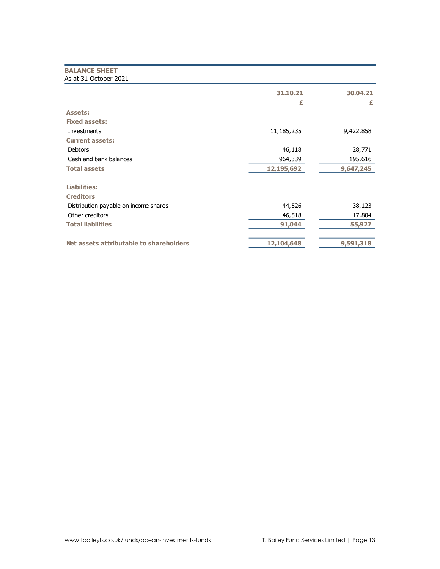# **BALANCE SHEET** As at 31 October 2021

|                                         | 31.10.21<br>£ | 30.04.21<br>£ |
|-----------------------------------------|---------------|---------------|
| <b>Assets:</b>                          |               |               |
| <b>Fixed assets:</b>                    |               |               |
| Investments                             | 11, 185, 235  | 9,422,858     |
| <b>Current assets:</b>                  |               |               |
| Debtors                                 | 46,118        | 28,771        |
| Cash and bank balances                  | 964,339       | 195,616       |
| <b>Total assets</b>                     | 12,195,692    | 9,647,245     |
| Liabilities:                            |               |               |
| <b>Creditors</b>                        |               |               |
| Distribution payable on income shares   | 44,526        | 38,123        |
| Other creditors                         | 46,518        | 17,804        |
| <b>Total liabilities</b>                | 91,044        | 55,927        |
| Net assets attributable to shareholders | 12,104,648    | 9,591,318     |
|                                         |               |               |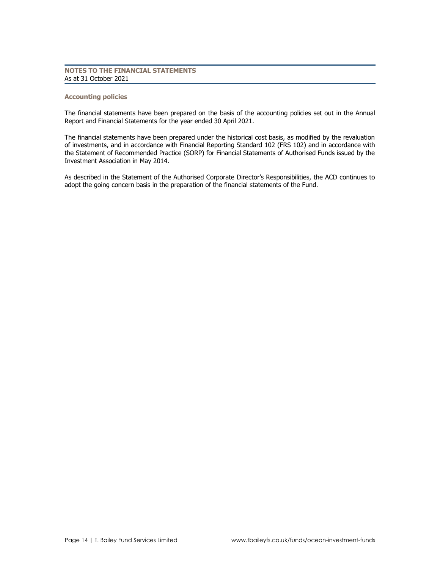# **NOTES TO THE FINANCIAL STATEMENTS** As at 31 October 2021

## **Accounting policies**

The financial statements have been prepared on the basis of the accounting policies set out in the Annual Report and Financial Statements for the year ended 30 April 2021.

The financial statements have been prepared under the historical cost basis, as modified by the revaluation of investments, and in accordance with Financial Reporting Standard 102 (FRS 102) and in accordance with the Statement of Recommended Practice (SORP) for Financial Statements of Authorised Funds issued by the Investment Association in May 2014.

As described in the Statement of the Authorised Corporate Director's Responsibilities, the ACD continues to adopt the going concern basis in the preparation of the financial statements of the Fund.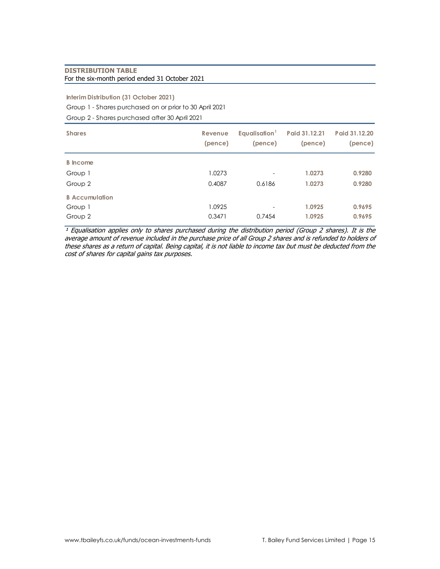# **DISTRIBUTION TABLE** For the six-month period ended 31 October 2021

# **Interim Distribution (31 October 2021)**

Group 1 - Shares purchased on or prior to 30 April 2021

Group 2 - Shares purchased after 30 April 2021

| <b>Shares</b>         | Revenue<br>(pence) | Equalisation <sup>1</sup><br>(pence) | Paid 31.12.21<br>(pence) | Paid 31.12.20<br>(pence) |
|-----------------------|--------------------|--------------------------------------|--------------------------|--------------------------|
| <b>B</b> Income       |                    |                                      |                          |                          |
| Group 1               | 1.0273             | $\overline{\phantom{a}}$             | 1.0273                   | 0.9280                   |
| Group 2               | 0.4087             | 0.6186                               | 1.0273                   | 0.9280                   |
| <b>B</b> Accumulation |                    |                                      |                          |                          |
| Group 1               | 1.0925             | $\overline{\phantom{a}}$             | 1.0925                   | 0.9695                   |
| Group 2               | 0.3471             | 0.7454                               | 1.0925                   | 0.9695                   |

 $\frac{1}{4}$  Equalisation applies only to shares purchased during the distribution period (Group 2 shares). It is the average amount of revenue included in the purchase price of all Group 2 shares and is refunded to holders of these shares as a return of capital. Being capital, it is not liable to income tax but must be deducted from the cost of shares for capital gains tax purposes.